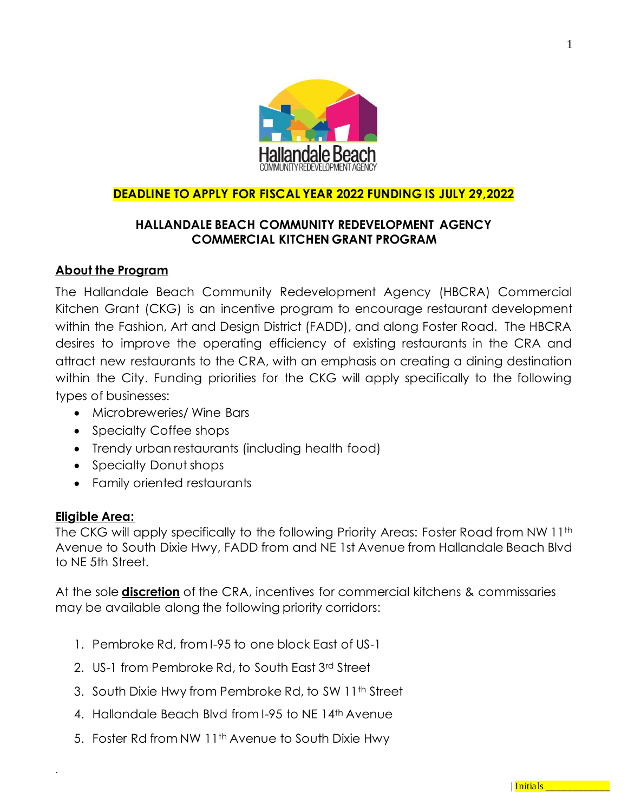

# **DEADLINE TO APPLY FOR FISCAL YEAR 2022 FUNDING IS JULY 29,2022**

# **HALLANDALE BEACH COMMUNITY REDEVELOPMENT AGENCY COMMERCIAL KITCHEN GRANT PROGRAM**

#### **About the Program**

The Hallandale Beach Community Redevelopment Agency (HBCRA) Commercial Kitchen Grant (CKG) is an incentive program to encourage restaurant development within the Fashion, Art and Design District (FADD), and along Foster Road. The HBCRA desires to improve the operating efficiency of existing restaurants in the CRA and attract new restaurants to the CRA, with an emphasis on creating a dining destination within the City. Funding priorities for the CKG will apply specifically to the following types of businesses:

- Microbreweries/ Wine Bars
- Specialty Coffee shops
- Trendy urban restaurants (including health food)
- Specialty Donut shops
- Family oriented restaurants

#### **Eligible Area:**

.

The CKG will apply specifically to the following Priority Areas: Foster Road from NW 11th Avenue to South Dixie Hwy, FADD from and NE 1st Avenue from Hallandale Beach Blvd to NE 5th Street.

At the sole **discretion** of the CRA, incentives for commercial kitchens & commissaries may be available along the following priority corridors:

- 1. Pembroke Rd, from I-95 to one block East of US-1
- 2. US-1 from Pembroke Rd, to South East 3rd Street
- 3. South Dixie Hwy from Pembroke Rd, to SW 11th Street
- 4. Hallandale Beach Blvd from I-95 to NE 14th Avenue
- 5. Foster Rd from NW 11<sup>th</sup> Avenue to South Dixie Hwy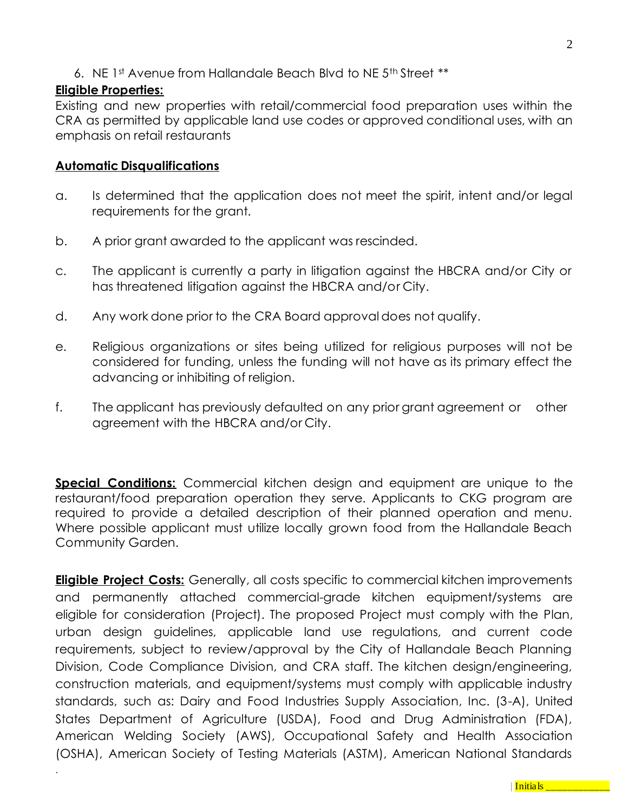6. NE 1st Avenue from Hallandale Beach Blvd to NE 5th Street \*\*

### **Eligible Properties:**

.

Existing and new properties with retail/commercial food preparation uses within the CRA as permitted by applicable land use codes or approved conditional uses, with an emphasis on retail restaurants

### **Automatic Disqualifications**

- a. Is determined that the application does not meet the spirit, intent and/or legal requirements for the grant.
- b. A prior grant awarded to the applicant was rescinded.
- c. The applicant is currently a party in litigation against the HBCRA and/or City or has threatened litigation against the HBCRA and/or City.
- d. Any work done prior to the CRA Board approval does not qualify.
- e. Religious organizations or sites being utilized for religious purposes will not be considered for funding, unless the funding will not have as its primary effect the advancing or inhibiting of religion.
- f. The applicant has previously defaulted on any prior grant agreement or other agreement with the HBCRA and/or City.

**Special Conditions:** Commercial kitchen design and equipment are unique to the restaurant/food preparation operation they serve. Applicants to CKG program are required to provide a detailed description of their planned operation and menu. Where possible applicant must utilize locally grown food from the Hallandale Beach Community Garden.

**Eligible Project Costs:** Generally, all costs specific to commercial kitchen improvements and permanently attached commercial-grade kitchen equipment/systems are eligible for consideration (Project). The proposed Project must comply with the Plan, urban design guidelines, applicable land use regulations, and current code requirements, subject to review/approval by the City of Hallandale Beach Planning Division, Code Compliance Division, and CRA staff. The kitchen design/engineering, construction materials, and equipment/systems must comply with applicable industry standards, such as: Dairy and Food Industries Supply Association, Inc. (3-A), United States Department of Agriculture (USDA), Food and Drug Administration (FDA), American Welding Society (AWS), Occupational Safety and Health Association (OSHA), American Society of Testing Materials (ASTM), American National Standards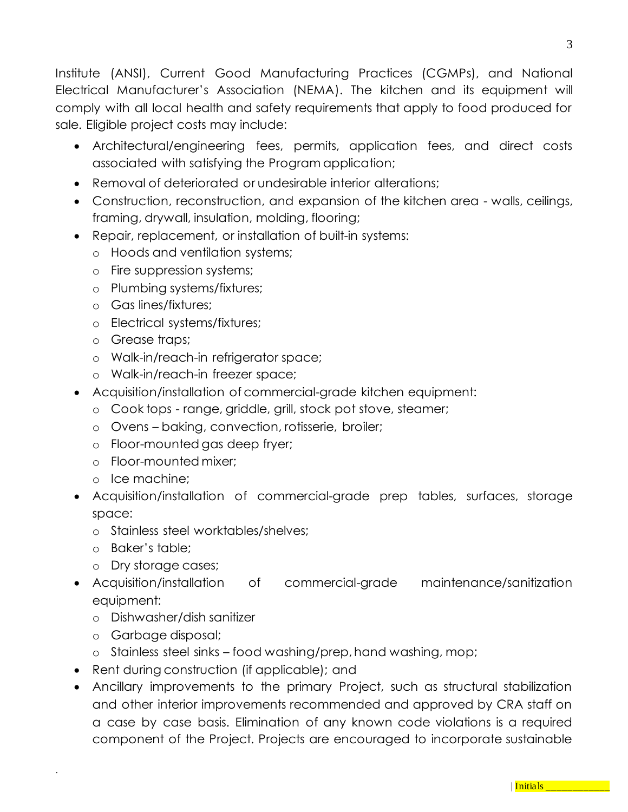Institute (ANSI), Current Good Manufacturing Practices (CGMPs), and National Electrical Manufacturer's Association (NEMA). The kitchen and its equipment will comply with all local health and safety requirements that apply to food produced for sale. Eligible project costs may include:

- Architectural/engineering fees, permits, application fees, and direct costs associated with satisfying the Program application;
- Removal of deteriorated or undesirable interior alterations;
- Construction, reconstruction, and expansion of the kitchen area walls, ceilings, framing, drywall, insulation, molding, flooring;
- Repair, replacement, or installation of built-in systems:
	- o Hoods and ventilation systems;
	- o Fire suppression systems;
	- o Plumbing systems/fixtures;
	- o Gas lines/fixtures;
	- o Electrical systems/fixtures;
	- o Grease traps;
	- o Walk-in/reach-in refrigerator space;
	- o Walk-in/reach-in freezer space;
- Acquisition/installation of commercial-grade kitchen equipment:
	- o Cook tops range, griddle, grill, stock pot stove, steamer;
	- o Ovens baking, convection, rotisserie, broiler;
	- o Floor-mounted gas deep fryer;
	- o Floor-mounted mixer;
	- o Ice machine;
- Acquisition/installation of commercial-grade prep tables, surfaces, storage space:
	- o Stainless steel worktables/shelves;
	- o Baker's table;
	- o Dry storage cases;
- Acquisition/installation of commercial-grade maintenance/sanitization equipment:
	- o Dishwasher/dish sanitizer
	- o Garbage disposal;

- o Stainless steel sinks food washing/prep, hand washing, mop;
- Rent during construction (if applicable); and
- Ancillary improvements to the primary Project, such as structural stabilization and other interior improvements recommended and approved by CRA staff on a case by case basis. Elimination of any known code violations is a required component of the Project. Projects are encouraged to incorporate sustainable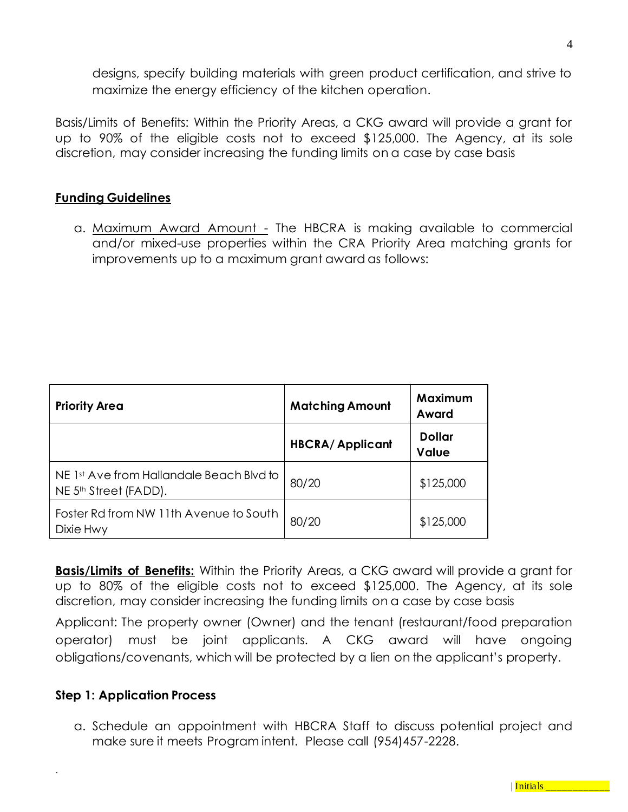designs, specify building materials with green product certification, and strive to maximize the energy efficiency of the kitchen operation.

Basis/Limits of Benefits: Within the Priority Areas, a CKG award will provide a grant for up to 90% of the eligible costs not to exceed \$125,000. The Agency, at its sole discretion, may consider increasing the funding limits on a case by case basis

## **Funding Guidelines**

a. Maximum Award Amount - The HBCRA is making available to commercial and/or mixed-use properties within the CRA Priority Area matching grants for improvements up to a maximum grant award as follows:

| <b>Priority Area</b>                                                          | <b>Matching Amount</b> | Maximum<br>Award       |
|-------------------------------------------------------------------------------|------------------------|------------------------|
|                                                                               | <b>HBCRA/Applicant</b> | <b>Dollar</b><br>Value |
| NE 1st Ave from Hallandale Beach Blvd to<br>NE 5 <sup>th</sup> Street (FADD). | 80/20                  | \$125,000              |
| Foster Rd from NW 11th Avenue to South<br>Dixie Hwy                           | 80/20                  | \$125,000              |

**Basis/Limits of Benefits:** Within the Priority Areas, a CKG award will provide a grant for up to 80% of the eligible costs not to exceed \$125,000. The Agency, at its sole discretion, may consider increasing the funding limits on a case by case basis

Applicant: The property owner (Owner) and the tenant (restaurant/food preparation operator) must be joint applicants. A CKG award will have ongoing obligations/covenants, which will be protected by a lien on the applicant's property.

#### **Step 1: Application Process**

.

a. Schedule an appointment with HBCRA Staff to discuss potential project and make sure it meets Program intent. Please call (954)457-2228.

| Initials \_\_\_\_\_\_\_\_\_\_\_\_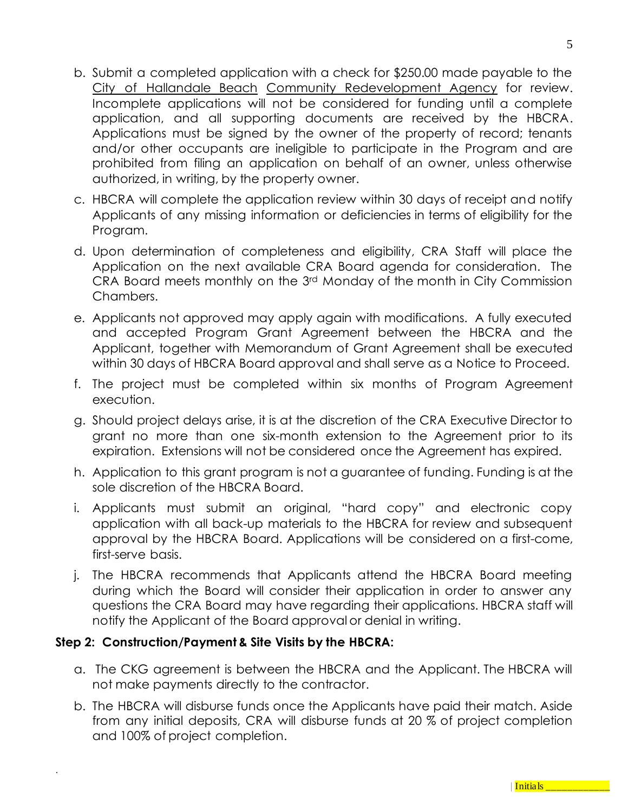- b. Submit a completed application with a check for \$250.00 made payable to the City of Hallandale Beach Community Redevelopment Agency for review. Incomplete applications will not be considered for funding until a complete application, and all supporting documents are received by the HBCRA. Applications must be signed by the owner of the property of record; tenants and/or other occupants are ineligible to participate in the Program and are prohibited from filing an application on behalf of an owner, unless otherwise authorized, in writing, by the property owner.
- c. HBCRA will complete the application review within 30 days of receipt and notify Applicants of any missing information or deficiencies in terms of eligibility for the Program.
- d. Upon determination of completeness and eligibility, CRA Staff will place the Application on the next available CRA Board agenda for consideration. The CRA Board meets monthly on the 3rd Monday of the month in City Commission Chambers.
- e. Applicants not approved may apply again with modifications. A fully executed and accepted Program Grant Agreement between the HBCRA and the Applicant, together with Memorandum of Grant Agreement shall be executed within 30 days of HBCRA Board approval and shall serve as a Notice to Proceed.
- f. The project must be completed within six months of Program Agreement execution.
- g. Should project delays arise, it is at the discretion of the CRA Executive Director to grant no more than one six-month extension to the Agreement prior to its expiration. Extensions will not be considered once the Agreement has expired.
- h. Application to this grant program is not a guarantee of funding. Funding is at the sole discretion of the HBCRA Board.
- i. Applicants must submit an original, "hard copy" and electronic copy application with all back-up materials to the HBCRA for review and subsequent approval by the HBCRA Board. Applications will be considered on a first-come, first-serve basis.
- j. The HBCRA recommends that Applicants attend the HBCRA Board meeting during which the Board will consider their application in order to answer any questions the CRA Board may have regarding their applications. HBCRA staff will notify the Applicant of the Board approval or denial in writing.

# **Step 2: Construction/Payment & Site Visits by the HBCRA:**

- a. The CKG agreement is between the HBCRA and the Applicant. The HBCRA will not make payments directly to the contractor.
- b. The HBCRA will disburse funds once the Applicants have paid their match. Aside from any initial deposits, CRA will disburse funds at 20 % of project completion and 100% of project completion.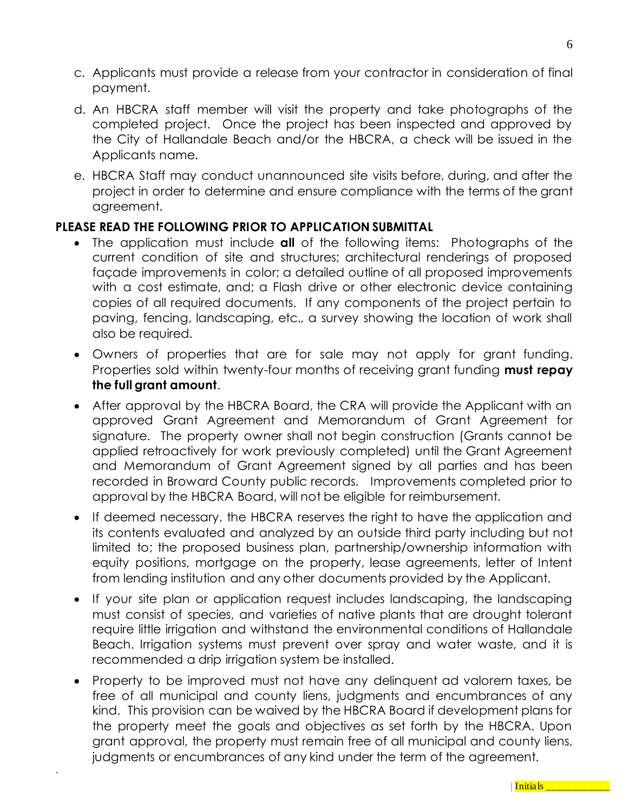- c. Applicants must provide a release from your contractor in consideration of final payment.
- d. An HBCRA staff member will visit the property and take photographs of the completed project. Once the project has been inspected and approved by the City of Hallandale Beach and/or the HBCRA, a check will be issued in the Applicants name.
- e. HBCRA Staff may conduct unannounced site visits before, during, and after the project in order to determine and ensure compliance with the terms of the grant agreement.

## **PLEASE READ THE FOLLOWING PRIOR TO APPLICATION SUBMITTAL**

- The application must include **all** of the following items: Photographs of the current condition of site and structures; architectural renderings of proposed façade improvements in color; a detailed outline of all proposed improvements with a cost estimate, and; a Flash drive or other electronic device containing copies of all required documents. If any components of the project pertain to paving, fencing, landscaping, etc., a survey showing the location of work shall also be required.
- Owners of properties that are for sale may not apply for grant funding. Properties sold within twenty-four months of receiving grant funding **must repay the full grant amount**.
- After approval by the HBCRA Board, the CRA will provide the Applicant with an approved Grant Agreement and Memorandum of Grant Agreement for signature. The property owner shall not begin construction (Grants cannot be applied retroactively for work previously completed) until the Grant Agreement and Memorandum of Grant Agreement signed by all parties and has been recorded in Broward County public records. Improvements completed prior to approval by the HBCRA Board, will not be eligible for reimbursement.
- If deemed necessary, the HBCRA reserves the right to have the application and its contents evaluated and analyzed by an outside third party including but not limited to; the proposed business plan, partnership/ownership information with equity positions, mortgage on the property, lease agreements, letter of Intent from lending institution and any other documents provided by the Applicant.
- If your site plan or application request includes landscaping, the landscaping must consist of species, and varieties of native plants that are drought tolerant require little irrigation and withstand the environmental conditions of Hallandale Beach. Irrigation systems must prevent over spray and water waste, and it is recommended a drip irrigation system be installed.
- Property to be improved must not have any delinquent ad valorem taxes, be free of all municipal and county liens, judgments and encumbrances of any kind. This provision can be waived by the HBCRA Board if development plans for the property meet the goals and objectives as set forth by the HBCRA. Upon grant approval, the property must remain free of all municipal and county liens, judgments or encumbrances of any kind under the term of the agreement.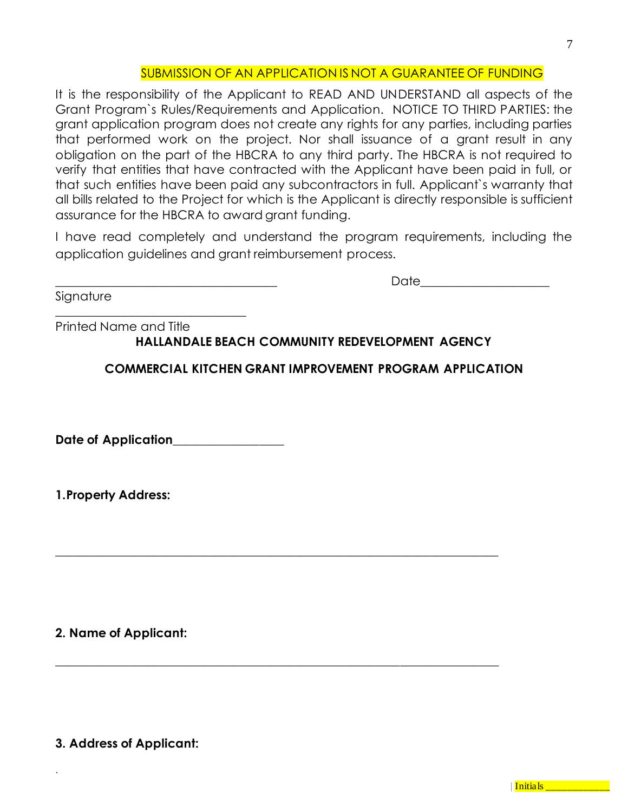## SUBMISSION OF AN APPLICATION IS NOT A GUARANTEE OF FUNDING

It is the responsibility of the Applicant to READ AND UNDERSTAND all aspects of the Grant Program`s Rules/Requirements and Application. NOTICE TO THIRD PARTIES: the grant application program does not create any rights for any parties, including parties that performed work on the project. Nor shall issuance of a grant result in any obligation on the part of the HBCRA to any third party. The HBCRA is not required to verify that entities that have contracted with the Applicant have been paid in full, or that such entities have been paid any subcontractors in full. Applicant`s warranty that all bills related to the Project for which is the Applicant is directly responsible is sufficient assurance for the HBCRA to award grant funding.

I have read completely and understand the program requirements, including the application guidelines and grant reimbursement process.

 $\Box$  die  $\Box$  die  $\Box$  die  $\Box$  die  $\Box$  die  $\Box$  die  $\Box$  die  $\Box$  die  $\Box$  die  $\Box$  die  $\Box$  die  $\Box$  die  $\Box$  die  $\Box$  die  $\Box$  die  $\Box$  die  $\Box$  die  $\Box$  die  $\Box$  die  $\Box$  die  $\Box$  die  $\Box$  die  $\Box$  die  $\Box$  die  $\Box$ 

Signature

Printed Name and Title **HALLANDALE BEACH COMMUNITY REDEVELOPMENT AGENCY**

**\_\_\_\_\_\_\_\_\_\_\_\_\_\_\_\_\_\_\_\_\_\_\_\_\_\_\_\_\_\_\_\_\_\_\_\_\_\_\_\_\_\_\_\_\_\_\_\_\_\_\_\_\_\_\_\_\_\_\_\_\_\_\_\_\_\_\_\_\_\_\_\_**

**\_\_\_\_\_\_\_\_\_\_\_\_\_\_\_\_\_\_\_\_\_\_\_\_\_\_\_\_\_\_\_\_\_\_\_\_\_\_\_\_\_\_\_\_\_\_\_\_\_\_\_\_\_\_\_\_\_\_\_\_\_\_\_\_\_\_\_\_\_\_\_\_**

**COMMERCIAL KITCHEN GRANT IMPROVEMENT PROGRAM APPLICATION**

**Date of Application\_\_\_\_\_\_\_\_\_\_\_\_\_\_\_\_\_\_**

\_\_\_\_\_\_\_\_\_\_\_\_\_\_\_\_\_\_\_\_\_\_\_\_\_\_\_\_\_\_\_

**1.Property Address:** 

**2. Name of Applicant:**

**3. Address of Applicant:**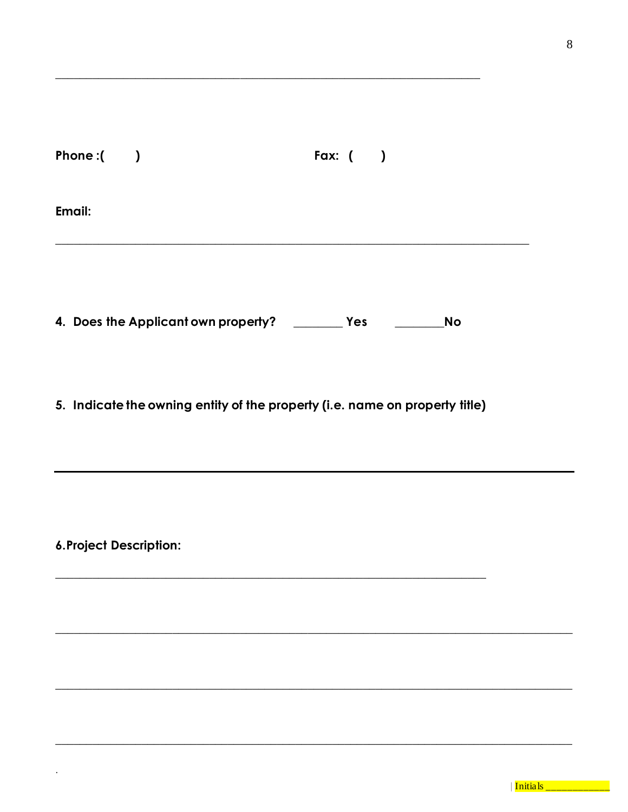|        | Phone: $($                          | Fax: $($ $)$ |           |
|--------|-------------------------------------|--------------|-----------|
| Email: |                                     |              |           |
|        |                                     |              |           |
|        | 4. Does the Applicant own property? | Yes          | <b>No</b> |

5. Indicate the owning entity of the property (i.e. name on property title)

6. Project Description:

 $\ddot{\phantom{0}}$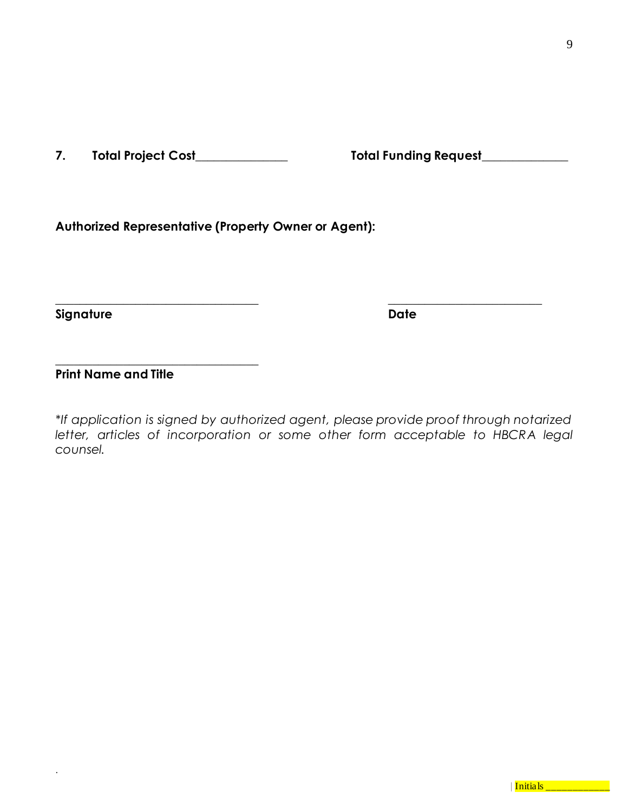**7. Total Project Cost\_\_\_\_\_\_\_\_\_\_\_\_\_\_\_ Total Funding Request\_\_\_\_\_\_\_\_\_\_\_\_\_\_**

**Authorized Representative (Property Owner or Agent):**

**Signature Date**

.

**Print Name and Title**

**\_\_\_\_\_\_\_\_\_\_\_\_\_\_\_\_\_\_\_\_\_\_\_\_\_\_\_\_\_\_\_\_\_**

*\*If application is signed by authorized agent, please provide proof through notarized*  letter, articles of incorporation or some other form acceptable to HBCRA legal *counsel.*

**\_\_\_\_\_\_\_\_\_\_\_\_\_\_\_\_\_\_\_\_\_\_\_\_\_\_\_\_\_\_\_\_\_ \_\_\_\_\_\_\_\_\_\_\_\_\_\_\_\_\_\_\_\_\_\_\_\_\_**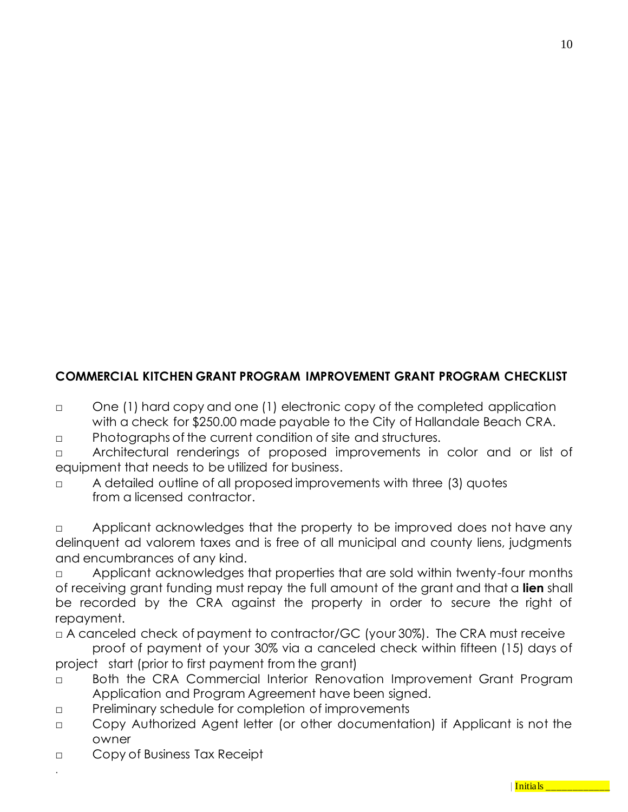# **COMMERCIAL KITCHEN GRANT PROGRAM IMPROVEMENT GRANT PROGRAM CHECKLIST**

- □ One (1) hard copy and one (1) electronic copy of the completed application with a check for \$250.00 made payable to the City of Hallandale Beach CRA.
- □ Photographs of the current condition of site and structures.
- □ Architectural renderings of proposed improvements in color and or list of equipment that needs to be utilized for business.
- □ A detailed outline of all proposed improvements with three (3) quotes from a licensed contractor.

□ Applicant acknowledges that the property to be improved does not have any delinquent ad valorem taxes and is free of all municipal and county liens, judgments and encumbrances of any kind.

□ Applicant acknowledges that properties that are sold within twenty-four months of receiving grant funding must repay the full amount of the grant and that a **lien** shall be recorded by the CRA against the property in order to secure the right of repayment.

□ A canceled check of payment to contractor/GC (your 30%). The CRA must receive

proof of payment of your 30% via a canceled check within fifteen (15) days of project start (prior to first payment from the grant)

- □ Both the CRA Commercial Interior Renovation Improvement Grant Program Application and Program Agreement have been signed.
- □ Preliminary schedule for completion of improvements
- □ Copy Authorized Agent letter (or other documentation) if Applicant is not the owner
- □ Copy of Business Tax Receipt